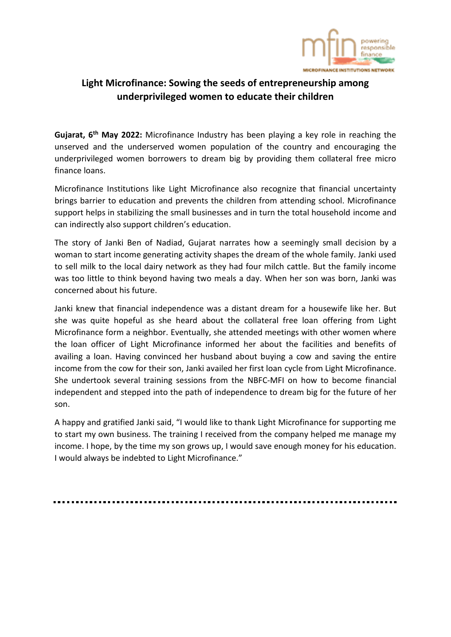

## **Light Microfinance: Sowing the seeds of entrepreneurship among underprivileged women to educate their children**

**Gujarat, 6th May 2022:** Microfinance Industry has been playing a key role in reaching the unserved and the underserved women population of the country and encouraging the underprivileged women borrowers to dream big by providing them collateral free micro finance loans.

Microfinance Institutions like Light Microfinance also recognize that financial uncertainty brings barrier to education and prevents the children from attending school. Microfinance support helps in stabilizing the small businesses and in turn the total household income and can indirectly also support children's education.

The story of Janki Ben of Nadiad, Gujarat narrates how a seemingly small decision by a woman to start income generating activity shapes the dream of the whole family. Janki used to sell milk to the local dairy network as they had four milch cattle. But the family income was too little to think beyond having two meals a day. When her son was born, Janki was concerned about his future.

Janki knew that financial independence was a distant dream for a housewife like her. But she was quite hopeful as she heard about the collateral free loan offering from Light Microfinance form a neighbor. Eventually, she attended meetings with other women where the loan officer of Light Microfinance informed her about the facilities and benefits of availing a loan. Having convinced her husband about buying a cow and saving the entire income from the cow for their son, Janki availed her first loan cycle from Light Microfinance. She undertook several training sessions from the NBFC-MFI on how to become financial independent and stepped into the path of independence to dream big for the future of her son.

A happy and gratified Janki said, "I would like to thank Light Microfinance for supporting me to start my own business. The training I received from the company helped me manage my income. I hope, by the time my son grows up, I would save enough money for his education. I would always be indebted to Light Microfinance."